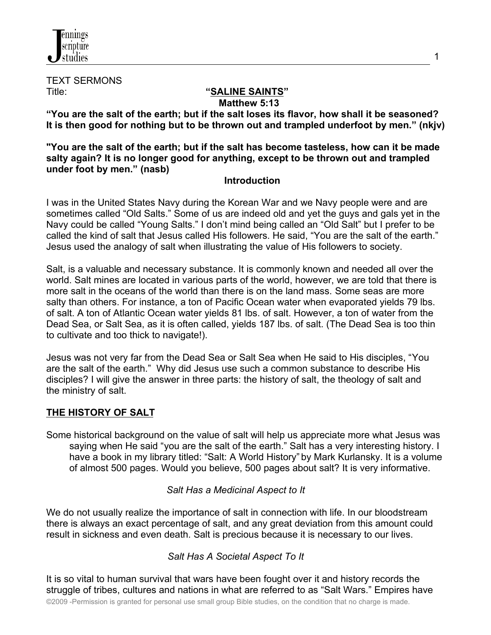

TEXT SERMONS

#### Title: **"SALINE SAINTS" Matthew 5:13**

**"You are the salt of the earth; but if the salt loses its flavor, how shall it be seasoned? It is then good for nothing but to be thrown out and trampled underfoot by men." (nkjv)**

**"You are the salt of the earth; but if the salt has become tasteless, how can it be made salty again? It is no longer good for anything, except to be thrown out and trampled under foot by men." (nasb)** 

## **Introduction**

I was in the United States Navy during the Korean War and we Navy people were and are sometimes called "Old Salts." Some of us are indeed old and yet the guys and gals yet in the Navy could be called "Young Salts." I don't mind being called an "Old Salt" but I prefer to be called the kind of salt that Jesus called His followers. He said, "You are the salt of the earth." Jesus used the analogy of salt when illustrating the value of His followers to society.

Salt, is a valuable and necessary substance. It is commonly known and needed all over the world. Salt mines are located in various parts of the world, however, we are told that there is more salt in the oceans of the world than there is on the land mass. Some seas are more salty than others. For instance, a ton of Pacific Ocean water when evaporated yields 79 lbs. of salt. A ton of Atlantic Ocean water yields 81 lbs. of salt. However, a ton of water from the Dead Sea, or Salt Sea, as it is often called, yields 187 lbs. of salt. (The Dead Sea is too thin to cultivate and too thick to navigate!).

Jesus was not very far from the Dead Sea or Salt Sea when He said to His disciples, "You are the salt of the earth." Why did Jesus use such a common substance to describe His disciples? I will give the answer in three parts: the history of salt, the theology of salt and the ministry of salt.

## **THE HISTORY OF SALT**

Some historical background on the value of salt will help us appreciate more what Jesus was saying when He said "you are the salt of the earth." Salt has a very interesting history. I have a book in my library titled: "Salt: A World History" by Mark Kurlansky. It is a volume of almost 500 pages. Would you believe, 500 pages about salt? It is very informative.

#### *Salt Has a Medicinal Aspect to It*

We do not usually realize the importance of salt in connection with life. In our bloodstream there is always an exact percentage of salt, and any great deviation from this amount could result in sickness and even death. Salt is precious because it is necessary to our lives.

#### *Salt Has A Societal Aspect To It*

It is so vital to human survival that wars have been fought over it and history records the struggle of tribes, cultures and nations in what are referred to as "Salt Wars." Empires have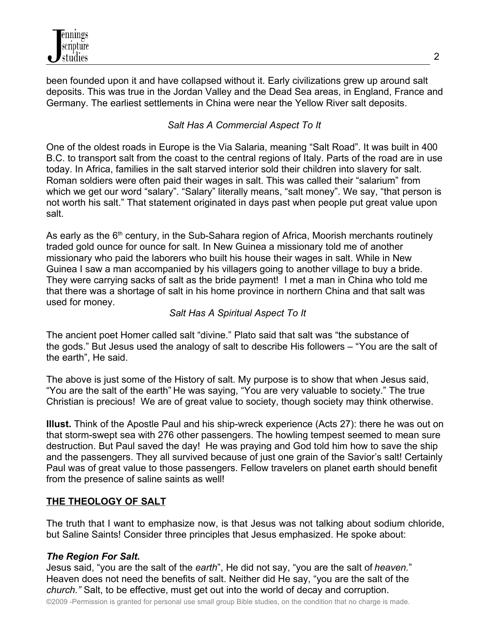been founded upon it and have collapsed without it. Early civilizations grew up around salt deposits. This was true in the Jordan Valley and the Dead Sea areas, in England, France and Germany. The earliest settlements in China were near the Yellow River salt deposits.

# *Salt Has A Commercial Aspect To It*

One of the oldest roads in Europe is the Via Salaria, meaning "Salt Road". It was built in 400 B.C. to transport salt from the coast to the central regions of Italy. Parts of the road are in use today. In Africa, families in the salt starved interior sold their children into slavery for salt. Roman soldiers were often paid their wages in salt. This was called their "salarium" from which we get our word "salary". "Salary" literally means, "salt money". We say, "that person is not worth his salt." That statement originated in days past when people put great value upon salt.

As early as the  $6<sup>th</sup>$  century, in the Sub-Sahara region of Africa, Moorish merchants routinely traded gold ounce for ounce for salt. In New Guinea a missionary told me of another missionary who paid the laborers who built his house their wages in salt. While in New Guinea I saw a man accompanied by his villagers going to another village to buy a bride. They were carrying sacks of salt as the bride payment! I met a man in China who told me that there was a shortage of salt in his home province in northern China and that salt was used for money.

# *Salt Has A Spiritual Aspect To It*

The ancient poet Homer called salt "divine." Plato said that salt was "the substance of the gods." But Jesus used the analogy of salt to describe His followers – "You are the salt of the earth", He said.

The above is just some of the History of salt. My purpose is to show that when Jesus said, "You are the salt of the earth" He was saying, "You are very valuable to society." The true Christian is precious! We are of great value to society, though society may think otherwise.

**Illust.** Think of the Apostle Paul and his ship-wreck experience (Acts 27): there he was out on that storm-swept sea with 276 other passengers. The howling tempest seemed to mean sure destruction. But Paul saved the day! He was praying and God told him how to save the ship and the passengers. They all survived because of just one grain of the Savior's salt! Certainly Paul was of great value to those passengers. Fellow travelers on planet earth should benefit from the presence of saline saints as well!

# **THE THEOLOGY OF SALT**

The truth that I want to emphasize now, is that Jesus was not talking about sodium chloride, but Saline Saints! Consider three principles that Jesus emphasized. He spoke about:

## *The Region For Salt.*

Jesus said, "you are the salt of the *earth*", He did not say, "you are the salt of *heaven.*" Heaven does not need the benefits of salt. Neither did He say, "you are the salt of the *church."* Salt, to be effective, must get out into the world of decay and corruption.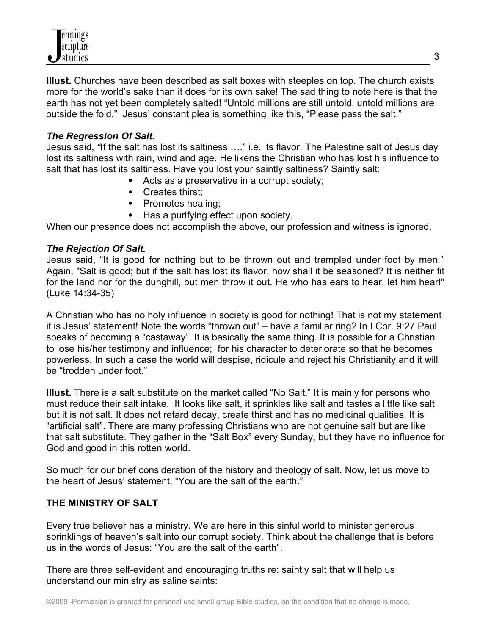**Illust.** Churches have been described as salt boxes with steeples on top. The church exists more for the world's sake than it does for its own sake! The sad thing to note here is that the earth has not yet been completely salted! "Untold millions are still untold, untold millions are outside the fold." Jesus' constant plea is something like this, "Please pass the salt."

### *The Regression Of Salt.*

Jesus said, *"*If the salt has lost its saltiness …." i.e. its flavor. The Palestine salt of Jesus day lost its saltiness with rain, wind and age. He likens the Christian who has lost his influence to salt that has lost its saltiness. Have you lost your saintly saltiness? Saintly salt:

- Acts as a preservative in a corrupt society;
- Creates thirst:
- Promotes healing;
- Has a purifying effect upon society.

When our presence does not accomplish the above, our profession and witness is ignored.

### *The Rejection Of Salt.*

Jesus said, "It is good for nothing but to be thrown out and trampled under foot by men." Again, "Salt is good; but if the salt has lost its flavor, how shall it be seasoned? It is neither fit for the land nor for the dunghill, but men throw it out. He who has ears to hear, let him hear!" (Luke 14:34-35)

A Christian who has no holy influence in society is good for nothing! That is not my statement it is Jesus' statement! Note the words "thrown out" – have a familiar ring? In I Cor. 9:27 Paul speaks of becoming a "castaway". It is basically the same thing. It is possible for a Christian to lose his/her testimony and influence; for his character to deteriorate so that he becomes powerless. In such a case the world will despise, ridicule and reject his Christianity and it will be "trodden under foot."

**Illust.** There is a salt substitute on the market called "No Salt." It is mainly for persons who must reduce their salt intake. It looks like salt, it sprinkles like salt and tastes a little like salt but it is not salt. It does not retard decay, create thirst and has no medicinal qualities. It is "artificial salt". There are many professing Christians who are not genuine salt but are like that salt substitute. They gather in the "Salt Box" every Sunday, but they have no influence for God and good in this rotten world.

So much for our brief consideration of the history and theology of salt. Now, let us move to the heart of Jesus' statement, "You are the salt of the earth."

#### **THE MINISTRY OF SALT**

Every true believer has a ministry. We are here in this sinful world to minister generous sprinklings of heaven's salt into our corrupt society. Think about the challenge that is before us in the words of Jesus: "You are the salt of the earth".

There are three self-evident and encouraging truths re: saintly salt that will help us understand our ministry as saline saints: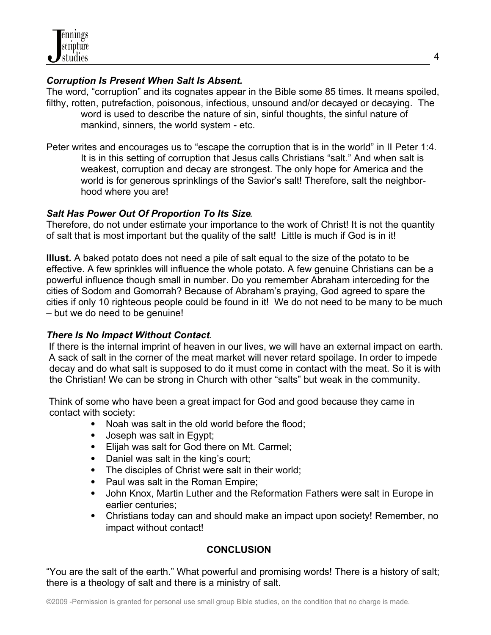## *Corruption Is Present When Salt Is Absent.*

The word, "corruption" and its cognates appear in the Bible some 85 times. It means spoiled, filthy, rotten, putrefaction, poisonous, infectious, unsound and/or decayed or decaying. The word is used to describe the nature of sin, sinful thoughts, the sinful nature of mankind, sinners, the world system - etc.

Peter writes and encourages us to "escape the corruption that is in the world" in II Peter 1:4. It is in this setting of corruption that Jesus calls Christians "salt." And when salt is weakest, corruption and decay are strongest. The only hope for America and the world is for generous sprinklings of the Savior's salt! Therefore, salt the neighborhood where you are!

## *Salt Has Power Out Of Proportion To Its Size.*

Therefore, do not under estimate your importance to the work of Christ! It is not the quantity of salt that is most important but the quality of the salt! Little is much if God is in it!

**Illust.** A baked potato does not need a pile of salt equal to the size of the potato to be effective. A few sprinkles will influence the whole potato. A few genuine Christians can be a powerful influence though small in number. Do you remember Abraham interceding for the cities of Sodom and Gomorrah? Because of Abraham's praying, God agreed to spare the cities if only 10 righteous people could be found in it! We do not need to be many to be much – but we do need to be genuine!

# *There Is No Impact Without Contact.*

 If there is the internal imprint of heaven in our lives, we will have an external impact on earth. A sack of salt in the corner of the meat market will never retard spoilage. In order to impede decay and do what salt is supposed to do it must come in contact with the meat. So it is with the Christian! We can be strong in Church with other "salts" but weak in the community.

 Think of some who have been a great impact for God and good because they came in contact with society:

- Noah was salt in the old world before the flood;
- Joseph was salt in Egypt;
- Elijah was salt for God there on Mt. Carmel;
- Daniel was salt in the king's court;
- The disciples of Christ were salt in their world;
- Paul was salt in the Roman Empire:
- John Knox, Martin Luther and the Reformation Fathers were salt in Europe in earlier centuries;
- Christians today can and should make an impact upon society! Remember, no impact without contact!

# **CONCLUSION**

"You are the salt of the earth." What powerful and promising words! There is a history of salt; there is a theology of salt and there is a ministry of salt.